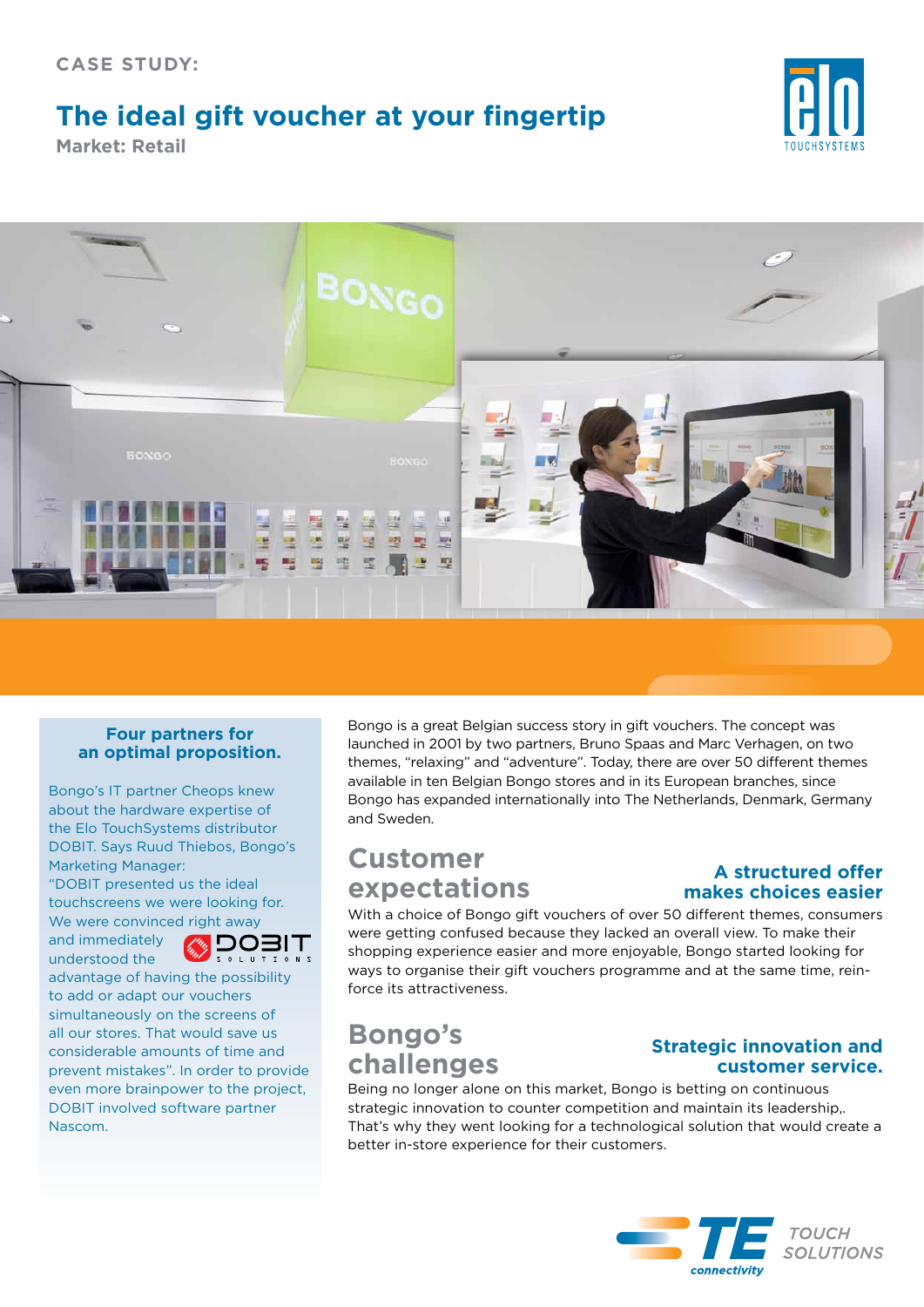## **The ideal gift voucher at your fingertip**

**Market: Retail**





#### **Four partners for an optimal proposition.**

Bongo's IT partner Cheops knew about the hardware expertise of the Elo TouchSystems distributor DOBIT. Says Ruud Thiebos, Bongo's Marketing Manager: "DOBIT presented us the ideal

touchscreens we were looking for. We were convinced right away

and immediately understood the

**DOBIT** 

advantage of having the possibility to add or adapt our vouchers simultaneously on the screens of all our stores. That would save us considerable amounts of time and prevent mistakes". In order to provide even more brainpower to the project, DOBIT involved software partner Nascom.

Bongo is a great Belgian success story in gift vouchers. The concept was launched in 2001 by two partners, Bruno Spaas and Marc Verhagen, on two themes, "relaxing" and "adventure". Today, there are over 50 different themes available in ten Belgian Bongo stores and in its European branches, since Bongo has expanded internationally into The Netherlands, Denmark, Germany and Sweden.

## **Customer expectations**

#### **A structured offer makes choices easier**

With a choice of Bongo gift vouchers of over 50 different themes, consumers were getting confused because they lacked an overall view. To make their shopping experience easier and more enjoyable, Bongo started looking for ways to organise their gift vouchers programme and at the same time, reinforce its attractiveness.

# **Bongo's challenges**

#### **Strategic innovation and customer service.**

Being no longer alone on this market, Bongo is betting on continuous strategic innovation to counter competition and maintain its leadership,. That's why they went looking for a technological solution that would create a better in-store experience for their customers.